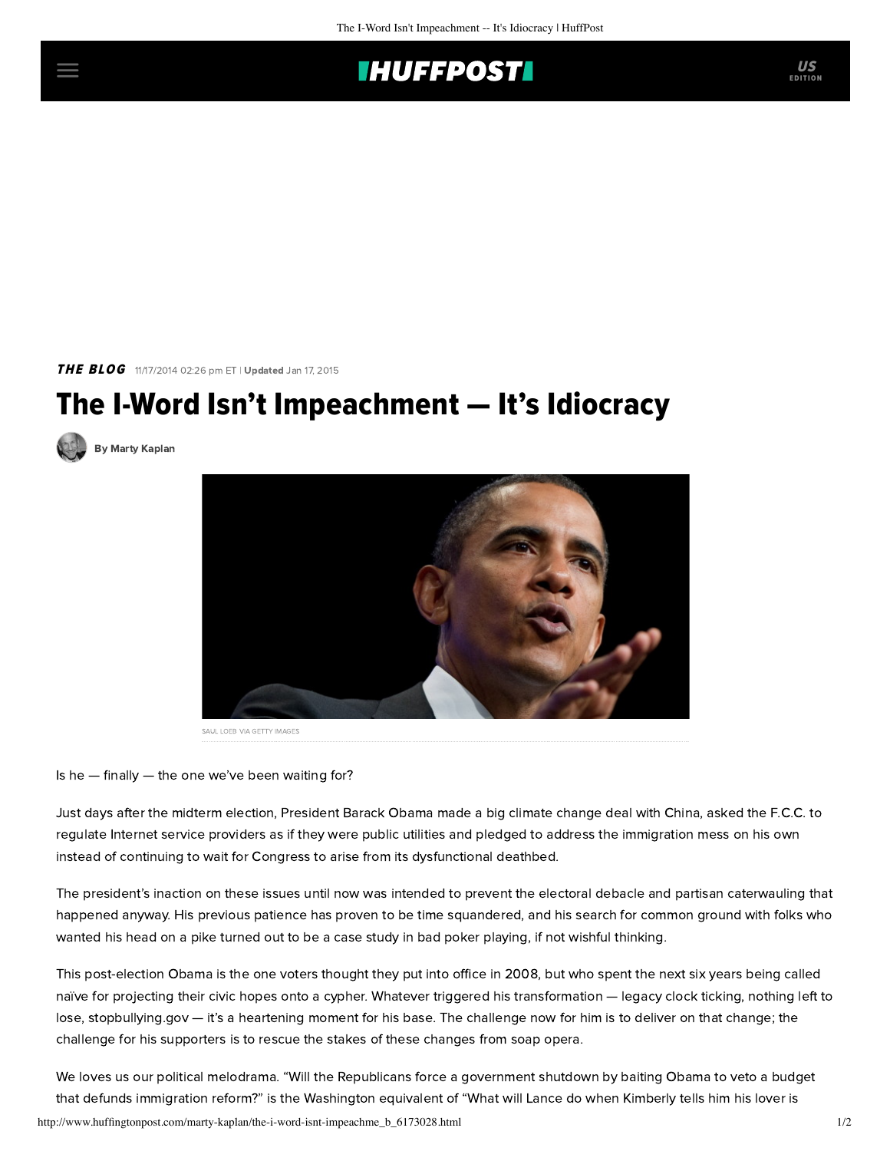## **THUFFPOST**

THE BLOG 11/17/2014 02:26 pm ET | Updated Jan 17, 2015

## The I-Word Isn't Impeachment — It's Idiocracy

[By Marty Kaplan](http://www.huffingtonpost.com/author/marty-kaplan)



SAUL LOEB VIA GETTY IMAGES

Is he — finally — the one we've been waiting for?

Just days after the midterm election, President Barack Obama made a big climate change deal with China, asked the F.C.C. to regulate Internet service providers as if they were public utilities and pledged to address the immigration mess on his own instead of continuing to wait for Congress to arise from its dysfunctional deathbed.

The president's inaction on these issues until now was intended to prevent the electoral debacle and partisan caterwauling that happened anyway. His previous patience has proven to be time squandered, and his search for common ground with folks who wanted his head on a pike turned out to be a case study in bad poker playing, if not wishful thinking.

This post-election Obama is the one voters thought they put into office in 2008, but who spent the next six years being called naïve for projecting their civic hopes onto a cypher. Whatever triggered his transformation — legacy clock ticking, nothing left to lose, stopbullying.gov — it's a heartening moment for his base. The challenge now for him is to deliver on that change; the challenge for his supporters is to rescue the stakes of these changes from soap opera.

http://www.huffingtonpost.com/marty-kaplan/the-i-word-isnt-impeachme\_b\_6173028.html 1/2 We loves us our political melodrama. "Will the Republicans force a government shutdown by baiting Obama to veto a budget that defunds immigration reform?" is the Washington equivalent of "What will Lance do when Kimberly tells him his lover is